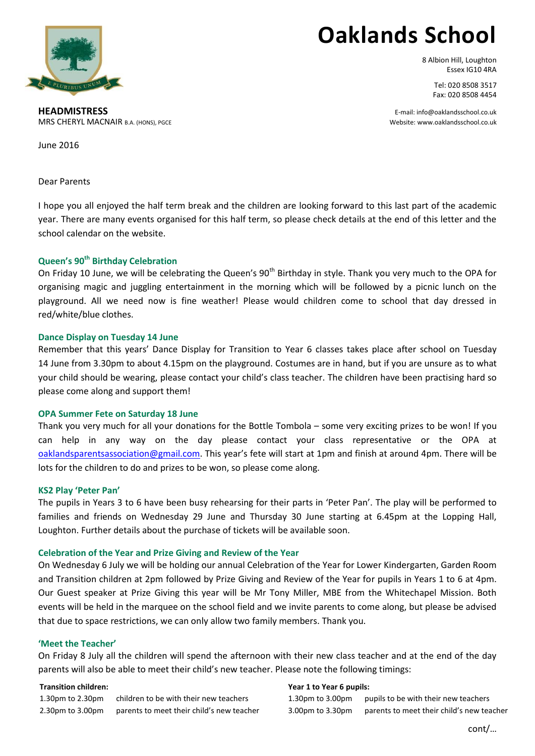

# **Oaklands School**

8 Albion Hill, Loughton Essex IG10 4RA

> Tel: 020 8508 3517 Fax: 020 8508 4454

**HEADMISTRESS** E-mail: info@oaklandsschool.co.uk MRS CHERYL MACNAIR B.A. (HONS), PGCE WEBSITE: WARD TO A SALL ASSESS TO A SALL ASSESS WEBSITE: WWW.Oaklandsschool.co.uk

June 2016

Dear Parents

I hope you all enjoyed the half term break and the children are looking forward to this last part of the academic year. There are many events organised for this half term, so please check details at the end of this letter and the school calendar on the website.

## **Queen's 90th Birthday Celebration**

On Friday 10 June, we will be celebrating the Queen's 90<sup>th</sup> Birthday in style. Thank you very much to the OPA for organising magic and juggling entertainment in the morning which will be followed by a picnic lunch on the playground. All we need now is fine weather! Please would children come to school that day dressed in red/white/blue clothes.

## **Dance Display on Tuesday 14 June**

Remember that this years' Dance Display for Transition to Year 6 classes takes place after school on Tuesday 14 June from 3.30pm to about 4.15pm on the playground. Costumes are in hand, but if you are unsure as to what your child should be wearing, please contact your child's class teacher. The children have been practising hard so please come along and support them!

## **OPA Summer Fete on Saturday 18 June**

Thank you very much for all your donations for the Bottle Tombola – some very exciting prizes to be won! If you can help in any way on the day please contact your class representative or the OPA at [oaklandsparentsassociation@gmail.com.](mailto:oaklandsparentsassociation@gmail.com) This year's fete will start at 1pm and finish at around 4pm. There will be lots for the children to do and prizes to be won, so please come along.

#### **KS2 Play 'Peter Pan'**

The pupils in Years 3 to 6 have been busy rehearsing for their parts in 'Peter Pan'. The play will be performed to families and friends on Wednesday 29 June and Thursday 30 June starting at 6.45pm at the Lopping Hall, Loughton. Further details about the purchase of tickets will be available soon.

## **Celebration of the Year and Prize Giving and Review of the Year**

On Wednesday 6 July we will be holding our annual Celebration of the Year for Lower Kindergarten, Garden Room and Transition children at 2pm followed by Prize Giving and Review of the Year for pupils in Years 1 to 6 at 4pm. Our Guest speaker at Prize Giving this year will be Mr Tony Miller, MBE from the Whitechapel Mission. Both events will be held in the marquee on the school field and we invite parents to come along, but please be advised that due to space restrictions, we can only allow two family members. Thank you.

#### **'Meet the Teacher'**

On Friday 8 July all the children will spend the afternoon with their new class teacher and at the end of the day parents will also be able to meet their child's new teacher. Please note the following timings:

#### **Transition children:**

1.30pm to 2.30pm children to be with their new teachers 2.30pm to 3.00pm parents to meet their child's new teacher

#### **Year 1 to Year 6 pupils:**

1.30pm to 3.00pm pupils to be with their new teachers 3.00pm to 3.30pm parents to meet their child's new teacher